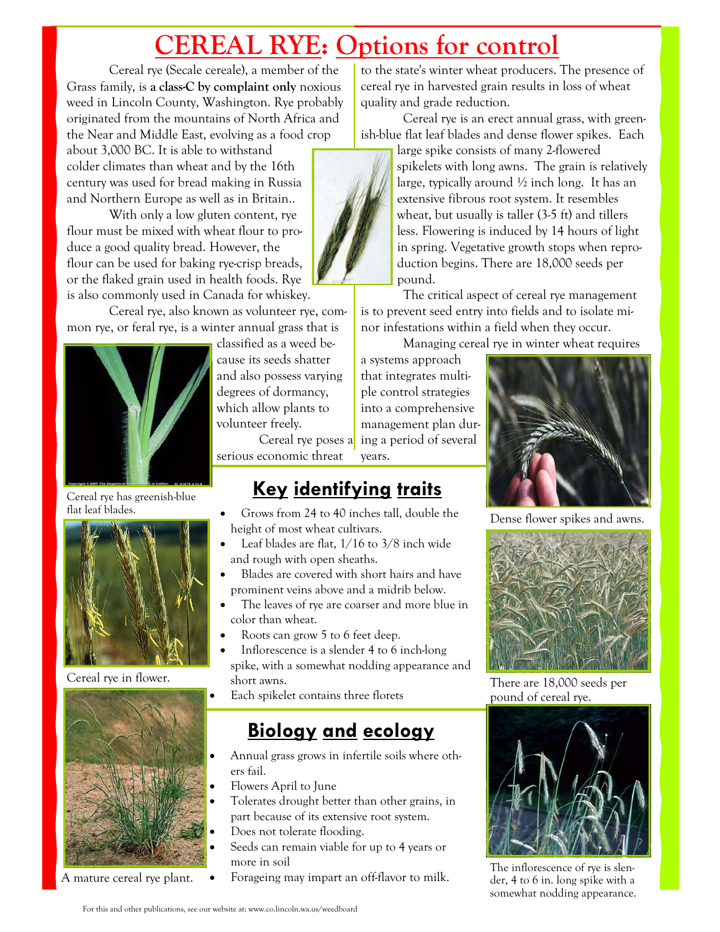## **CEREAL RYE: Options for control**

Cereal rye (Secale cereale), a member of the Grass family, is **a class-C by complaint only** noxious weed in Lincoln County, Washington. Rye probably originated from the mountains of North Africa and the Near and Middle East, evolving as a food crop

about 3,000 BC. It is able to withstand colder climates than wheat and by the 16th century was used for bread making in Russia and Northern Europe as well as in Britain..

 With only a low gluten content, rye flour must be mixed with wheat flour to produce a good quality bread. However, the flour can be used for baking rye-crisp breads, or the flaked grain used in health foods. Rye is also commonly used in Canada for whiskey.

 Cereal rye, also known as volunteer rye, common rye, or feral rye, is a winter annual grass that is



Cereal rye has greenish-blue flat leaf blades.



Cereal rye in flower.



classified as a weed because its seeds shatter and also possess varying degrees of dormancy, which allow plants to volunteer freely.

 Cereal rye poses a serious economic threat

### **Key identifying traits**

- Grows from 24 to 40 inches tall, double the height of most wheat cultivars.
- Leaf blades are flat,  $1/16$  to  $3/8$  inch wide and rough with open sheaths.
- Blades are covered with short hairs and have prominent veins above and a midrib below.
- The leaves of rye are coarser and more blue in color than wheat.
- Roots can grow 5 to 6 feet deep.
- Inflorescence is a slender 4 to 6 inch-long spike, with a somewhat nodding appearance and short awns.
- Each spikelet contains three florets

### **Biology and ecology**

- Annual grass grows in infertile soils where others fail.
- Flowers April to June
- Tolerates drought better than other grains, in part because of its extensive root system.
- Does not tolerate flooding.
- Seeds can remain viable for up to 4 years or more in soil
- A mature cereal rye plant. Forageing may impart an off-flavor to milk.

to the state's winter wheat producers. The presence of cereal rye in harvested grain results in loss of wheat quality and grade reduction.

 Cereal rye is an erect annual grass, with greenish-blue flat leaf blades and dense flower spikes. Each large spike consists of many 2-flowered



spikelets with long awns. The grain is relatively large, typically around  $\frac{1}{2}$  inch long. It has an extensive fibrous root system. It resembles wheat, but usually is taller (3-5 ft) and tillers less. Flowering is induced by 14 hours of light in spring. Vegetative growth stops when reproduction begins. There are 18,000 seeds per pound.

 The critical aspect of cereal rye management is to prevent seed entry into fields and to isolate minor infestations within a field when they occur.

Managing cereal rye in winter wheat requires

a systems approach that integrates multiple control strategies into a comprehensive management plan during a period of several years.



Dense flower spikes and awns.



There are 18,000 seeds per pound of cereal rye.



The inflorescence of rye is slender, 4 to 6 in. long spike with a somewhat nodding appearance.